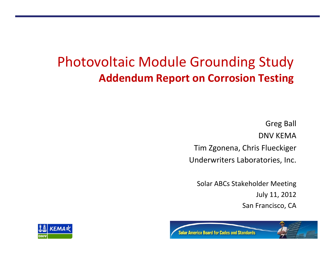## Photovoltaic Module Grounding Study **Addendum Report on Corrosion Testing**

Greg Ball DNV KEMATim Zgonena, Chris Flueckiger Underwriters Laboratories, Inc.

Solar ABCs Stakeholder Meeting July 11, 2012 San Francisco, CA



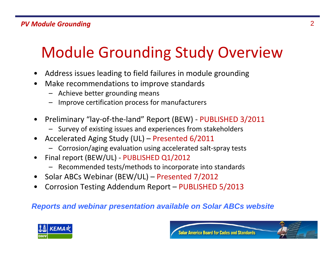# Module Grounding Study Overview

- •Address issues leading to field failures in module grounding
- • Make recommendations to improve standards
	- Achieve better grounding means
	- Improve certification process for manufacturers
- • Preliminary "lay‐of‐the‐land" Report (BEW) ‐ PUBLISHED 3/2011
	- Survey of existing issues and experiences from stakeholders
- • Accelerated Aging Study (UL) – Presented 6/2011
	- Corrosion/aging evaluation using accelerated salt‐spray tests
- • Final report (BEW/UL) ‐ PUBLISHED Q1/2012
	- Recommended tests/methods to incorporate into standards
- •Solar ABCs Webinar (BEW/UL) – Presented 7/2012
- •Corrosion Testing Addendum Report – PUBLISHED 5/2013

### *Reports and webinar presentation available on Solar ABCs website*



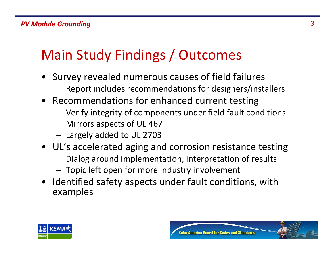## Main Study Findings / Outcomes

- Survey revealed numerous causes of field failures
	- Report includes recommendations for designers/installers
- Recommendations for enhanced current testing
	- Verify integrity of components under field fault conditions
	- Mirrors aspects of UL 467
	- Largely added to UL 2703
- UL's accelerated aging and corrosion resistance testing
	- Dialog around implementation, interpretation of results
	- Topic left open for more industry involvement
- Identified safety aspects under fault conditions, with examples



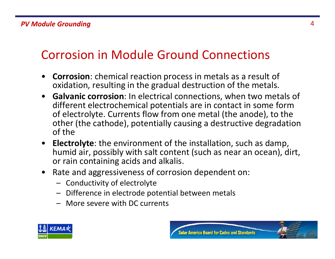### Corrosion in Module Ground Connections

- • **Corrosion**: chemical reaction process in metals as <sup>a</sup> result of oxidation, resulting in the gradual destruction of the metals.
- **Galvanic corrosion**: In electrical connections, when two metals of different electrochemical potentials are in contact in some form of electrolyte. Currents flow from one metal (the anode), to the other (the cathode), potentially causing <sup>a</sup> destructive degradation of the
- **Electrolyte**: the environment of the installation, such as damp, humid air, possibly with salt content (such as near an ocean), dirt, or rain containing acids and alkalis.
- $\bullet$  Rate and aggressiveness of corrosion dependent on:
	- Conductivity of electrolyte
	- Difference in electrode potential between metals
	- More severe with DC currents



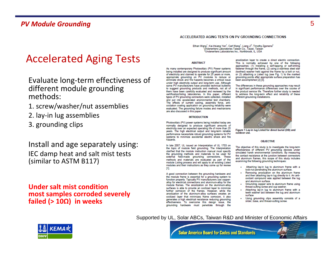### Accelerated Aging Tests

Evaluate long‐term effectiveness of different module grounding methods:

- 1. screw/washer/nut assemblies
- 2. lay‐in lug assemblies
- 3. grounding clips

### Install and age separately using: IEC damp heat and salt mist tests (similar to ASTM B117)

### **Under salt mist conditionmost samples corroded severely failed (> 10Ω) in weeks**

#### ACCELERATED AGING TESTS ON PV GROUNDING CONNECTIONS

Ethan Wang<sup>1</sup>, Kai-Hsiang Yen<sup>1</sup>, Carl Wang<sup>1</sup>, Liang Ji<sup>2</sup>, Timothy Zgonena<sup>2</sup> Underwriters Laboratories Taiwan Co., Taipei, Taiwan <sup>2</sup>Underwriters Laboratories Inc., Northbrook, IL, USA

#### **ABSTRACT**

As many contemporary Photovoltaic (PV) Power systems being installed are designed to produce significant amount of electricity and claimed to operate for 25 years or more, appropriate grounding on PV modules to reduce or eliminate shock and fire hazards becomes a critical issue under high electricity output and long-term use. Although some PV manufacturers have provided technical bulletins to suggest grounding products and methods, not all of them have been carefully evaluated and reviewed by the certification/listing laboratories. In this paper, different types of PV grounding connectors were collected, installed and put into accelerated environmental test chambers. The effects of current cycling, assembly force, antioxidation coating application on grounding reliability were evaluated. The grounding failure modes and mechanisms are also discussed in this paper.

#### **INTRODUCTION**

Photovoltaic (PV) power systems being installed today are normally designed to produce significant amounts of electricity over an expected operating life of more than 25 years. The high electrical output and long-term reliable performance necessitate robust grounding systems for PV systems to minimize accidental electric shock and fire hazards

In late 2007, UL issued an Interpretation of UL 1703 on the topic of module field grounding. The Interpretation clarified that the module instruction manual must specify the grounding methods and materials to be used for external field-made grounding connections. These methods and materials are evaluated as part of the module Listing process and will apply to all existing Listed modules and their instructions as they come up for review [1].

A good connection between the grounding hardware and the module frame is essential for a grounding system to function properly. Typically PV manufacturers use copperalloy for electrical connections and aluminum-alloy for the module frames. The anodization on the aluminum-alloy surfaces is able to provide an oxidized layer to minimize further corrosion of the frames. However, while the anodization of the aluminum-alloy surfaces creates an oxidized layer that minimizes frame corrosion, it also generates a high electrical resistance reducing grounding effectiveness. To overcome this design issue, the grounding hardware must penetrate through the

anodization layer to create a direct electric connection. This is normally achieved by one of the following approaches: (1) Installing a self-tapping or self-drilling fastener through the frame, (2) using a stainless steel star (toothed) washer held against the frame by a bolt or nut. or (3) attaching a Listed lug (see Fig. 1) to the marked grounding points after appropriate surface preparation has been accomplished [2] [3].

The differences in these grounding approaches may result in significant performance differences over the course of the product service life. Therefore further study is needed to address the long-term effect and reliability of these different grounding installations.



Figure 1 Lay-in lug Listed for direct burial (DB) and outdoor use.

#### **OBJECTIVE**

The objective of this study is to investigate the long-term effectiveness of different PV grounding devices under simulated harsh environmental conditions. By measuring the contact resistance at the junction between connectors and aluminum frames, this scope of this study includes examining the following grounding techniques:

- Attaching lay-in lug to aluminum frame with a lock-nut penetrating the aluminum surface.
- Removing anodization on the aluminum frame and then attaching lay-in lug directly to it. An antioxidant compound was applied between the lug and aluminum surface.
- Grounding copper wire to aluminum frame using thread-cutting screw and cup washer.
- Attaching lay-in lug to aluminum frame with a teeth washer laid between the lug and aluminum surface
- Using grounding clips assembly consists of a slider, base, and thread-cutting screw.

#### Supported by UL, Solar ABCs, Taiwan R&D and Minister of Economic Affairs



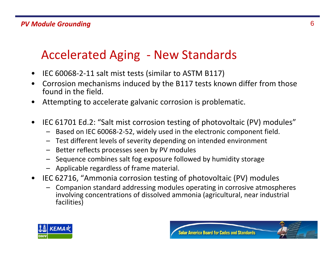### Accelerated Aging ‐ New Standards

- •IEC 60068‐2‐11 salt mist tests (similar to ASTM B117)
- • Corrosion mechanisms induced by the B117 tests known differ from those found in the field.
- •Attempting to accelerate galvanic corrosion is problematic.
- • IEC 61701 Ed.2: "Salt mist corrosion testing of photovoltaic (PV) modules"
	- Based on IEC 60068‐2‐52, widely used in the electronic component field.
	- Test different levels of severity depending on intended environment
	- Better reflects processes seen by PV modules
	- Sequence combines salt fog exposure followed by humidity storage
	- Applicable regardless of frame material.
- IEC 62716, "Ammonia corrosion testing of photovoltaic (PV) modules
	- – Companion standard addressing modules operating in corrosive atmospheres involving concentrations of dissolved ammonia (agricultural, near industrial facilities)